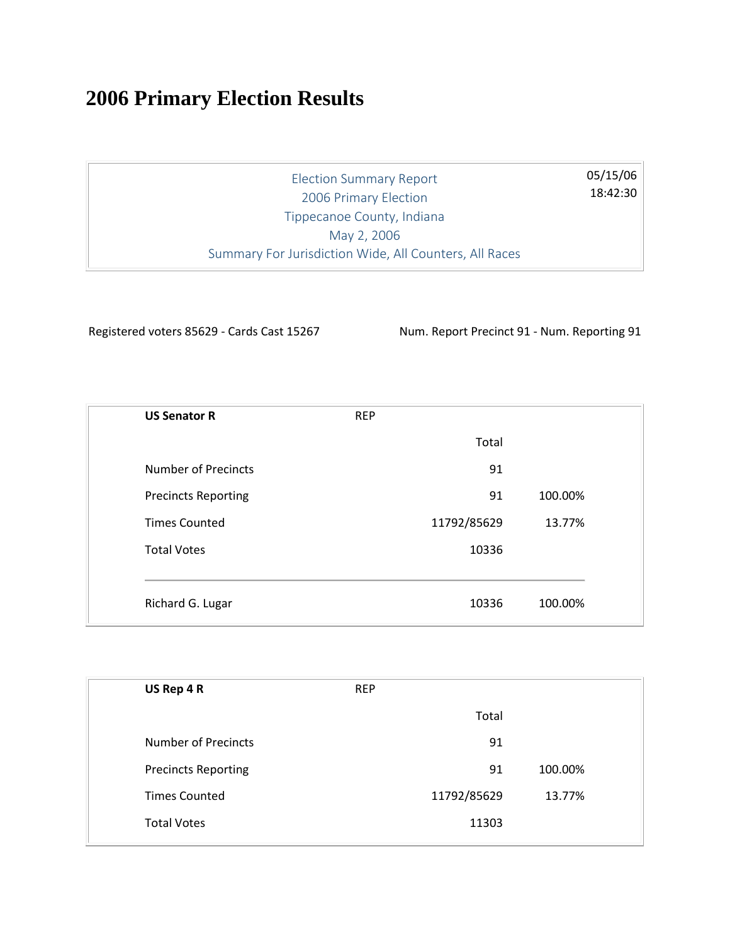## **2006 Primary Election Results**

Election Summary Report 2006 Primary Election Tippecanoe County, Indiana May 2, 2006 Summary For Jurisdiction Wide, All Counters, All Races

Registered voters 85629 - Cards Cast 15267 Num. Report Precinct 91 - Num. Reporting 91

05/15/06 18:42:30

| <b>US Senator R</b>        | <b>REP</b>  |         |
|----------------------------|-------------|---------|
|                            | Total       |         |
| <b>Number of Precincts</b> | 91          |         |
| <b>Precincts Reporting</b> | 91          | 100.00% |
| <b>Times Counted</b>       | 11792/85629 | 13.77%  |
| <b>Total Votes</b>         | 10336       |         |
|                            |             |         |
| Richard G. Lugar           | 10336       | 100.00% |

| US Rep 4 R                 | <b>REP</b> |             |         |
|----------------------------|------------|-------------|---------|
|                            |            | Total       |         |
| <b>Number of Precincts</b> |            | 91          |         |
| <b>Precincts Reporting</b> |            | 91          | 100.00% |
| <b>Times Counted</b>       |            | 11792/85629 | 13.77%  |
| <b>Total Votes</b>         |            | 11303       |         |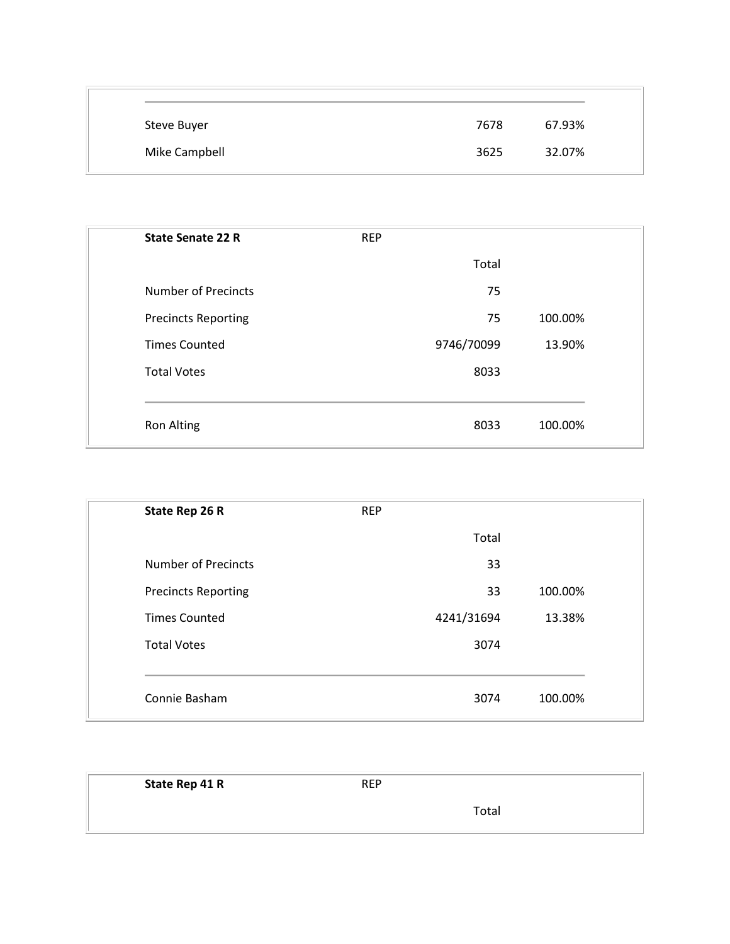| Steve Buyer   | 7678 | 67.93% |
|---------------|------|--------|
| Mike Campbell | 3625 | 32.07% |

| <b>State Senate 22 R</b>   | <b>REP</b> |                 |  |
|----------------------------|------------|-----------------|--|
|                            |            | Total           |  |
| <b>Number of Precincts</b> |            | 75              |  |
| <b>Precincts Reporting</b> |            | 100.00%<br>75   |  |
| <b>Times Counted</b>       | 9746/70099 | 13.90%          |  |
| <b>Total Votes</b>         |            | 8033            |  |
|                            |            |                 |  |
| <b>Ron Alting</b>          |            | 100.00%<br>8033 |  |

| State Rep 26 R             | <b>REP</b> |            |         |
|----------------------------|------------|------------|---------|
|                            |            | Total      |         |
| <b>Number of Precincts</b> |            | 33         |         |
| <b>Precincts Reporting</b> |            | 33         | 100.00% |
| <b>Times Counted</b>       |            | 4241/31694 | 13.38%  |
| <b>Total Votes</b>         |            | 3074       |         |
|                            |            |            |         |
| Connie Basham              |            | 3074       | 100.00% |

| State Rep 41 R | <b>REP</b> |  |
|----------------|------------|--|
|                | Total      |  |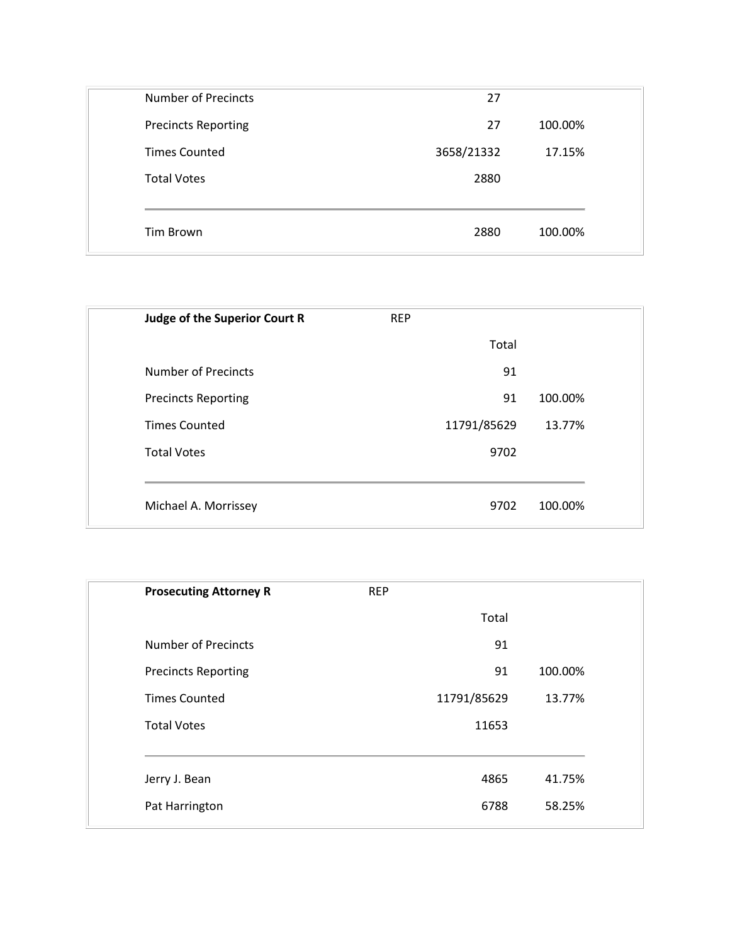| 27<br>3658/21332 | 100.00%<br>17.15% |
|------------------|-------------------|
|                  |                   |
|                  |                   |
| 2880             |                   |
|                  |                   |
| 2880             | 100.00%           |
|                  |                   |

| <b>Judge of the Superior Court R</b> | <b>REP</b>  |         |
|--------------------------------------|-------------|---------|
|                                      | Total       |         |
| Number of Precincts                  | 91          |         |
| <b>Precincts Reporting</b>           | 91          | 100.00% |
| <b>Times Counted</b>                 | 11791/85629 | 13.77%  |
| <b>Total Votes</b>                   | 9702        |         |
|                                      |             |         |
| Michael A. Morrissey                 | 9702        | 100.00% |
|                                      |             |         |

| <b>Prosecuting Attorney R</b> | <b>REP</b> |             |         |
|-------------------------------|------------|-------------|---------|
|                               |            | Total       |         |
| <b>Number of Precincts</b>    |            | 91          |         |
| <b>Precincts Reporting</b>    |            | 91          | 100.00% |
| <b>Times Counted</b>          |            | 11791/85629 | 13.77%  |
| <b>Total Votes</b>            |            | 11653       |         |
|                               |            |             |         |
| Jerry J. Bean                 |            | 4865        | 41.75%  |
| Pat Harrington                |            | 6788        | 58.25%  |
|                               |            |             |         |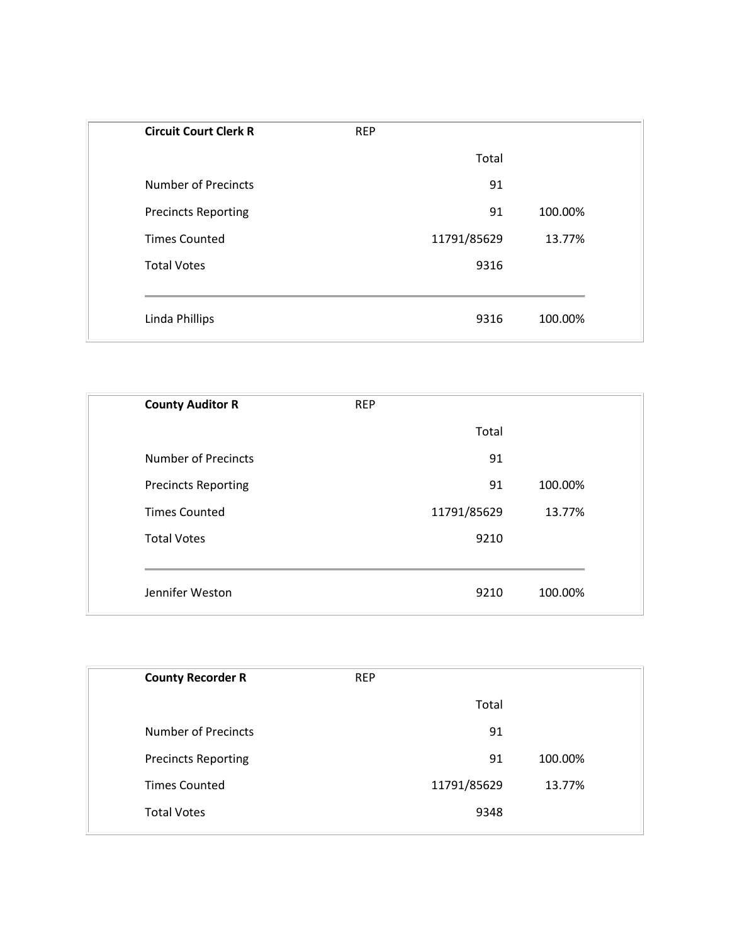| <b>Circuit Court Clerk R</b> | <b>REP</b>  |         |
|------------------------------|-------------|---------|
|                              | Total       |         |
| <b>Number of Precincts</b>   | 91          |         |
| <b>Precincts Reporting</b>   | 91          | 100.00% |
| <b>Times Counted</b>         | 11791/85629 | 13.77%  |
| <b>Total Votes</b>           | 9316        |         |
|                              |             |         |
| Linda Phillips               | 9316        | 100.00% |

| <b>County Auditor R</b>    | <b>REP</b> |             |         |
|----------------------------|------------|-------------|---------|
|                            |            | Total       |         |
| <b>Number of Precincts</b> |            | 91          |         |
| <b>Precincts Reporting</b> |            | 91          | 100.00% |
| <b>Times Counted</b>       |            | 11791/85629 | 13.77%  |
| <b>Total Votes</b>         |            | 9210        |         |
|                            |            |             |         |
| Jennifer Weston            |            | 9210        | 100.00% |

| <b>County Recorder R</b>   | <b>REP</b> |             |         |
|----------------------------|------------|-------------|---------|
|                            |            | Total       |         |
| <b>Number of Precincts</b> |            | 91          |         |
| <b>Precincts Reporting</b> |            | 91          | 100.00% |
| <b>Times Counted</b>       |            | 11791/85629 | 13.77%  |
| <b>Total Votes</b>         |            | 9348        |         |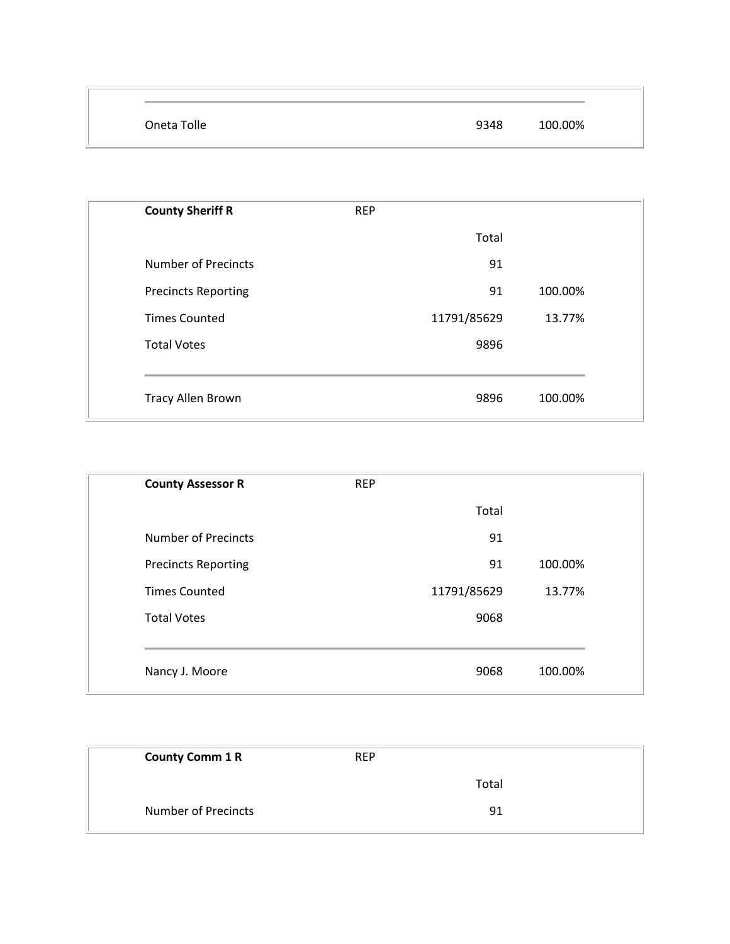| Oneta Tolle | 100.00%<br>9348 |
|-------------|-----------------|

| <b>REP</b><br>Total<br>91 |         |
|---------------------------|---------|
|                           |         |
|                           |         |
|                           |         |
| 91                        | 100.00% |
| 11791/85629               | 13.77%  |
| 9896                      |         |
|                           |         |
| 9896                      | 100.00% |
|                           |         |

| <b>REP</b> |             |         |
|------------|-------------|---------|
|            | Total       |         |
|            | 91          |         |
|            | 91          | 100.00% |
|            | 11791/85629 | 13.77%  |
|            | 9068        |         |
|            |             |         |
|            | 9068        | 100.00% |
|            |             |         |

| <b>County Comm 1 R</b>     | <b>REP</b> |  |
|----------------------------|------------|--|
|                            | Total      |  |
| <b>Number of Precincts</b> | 91         |  |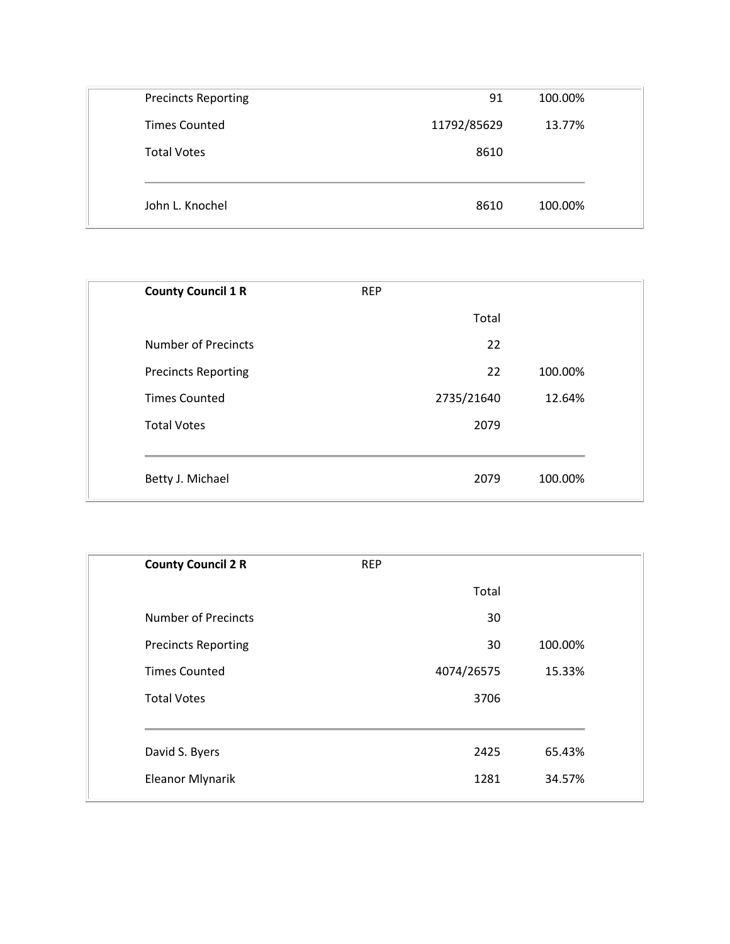| <b>Precincts Reporting</b> | 91          | 100.00% |
|----------------------------|-------------|---------|
| <b>Times Counted</b>       | 11792/85629 | 13.77%  |
| <b>Total Votes</b>         | 8610        |         |
|                            |             |         |
| John L. Knochel            | 8610        | 100.00% |

| <b>REP</b> |       |            |
|------------|-------|------------|
|            | Total |            |
|            | 22    |            |
|            | 22    | 100.00%    |
|            |       | 12.64%     |
|            | 2079  |            |
|            |       |            |
|            | 2079  | 100.00%    |
|            |       | 2735/21640 |

| <b>REP</b> |         |
|------------|---------|
| Total      |         |
| 30         |         |
| 30         | 100.00% |
| 4074/26575 | 15.33%  |
| 3706       |         |
| 2425       | 65.43%  |
| 1281       | 34.57%  |
|            |         |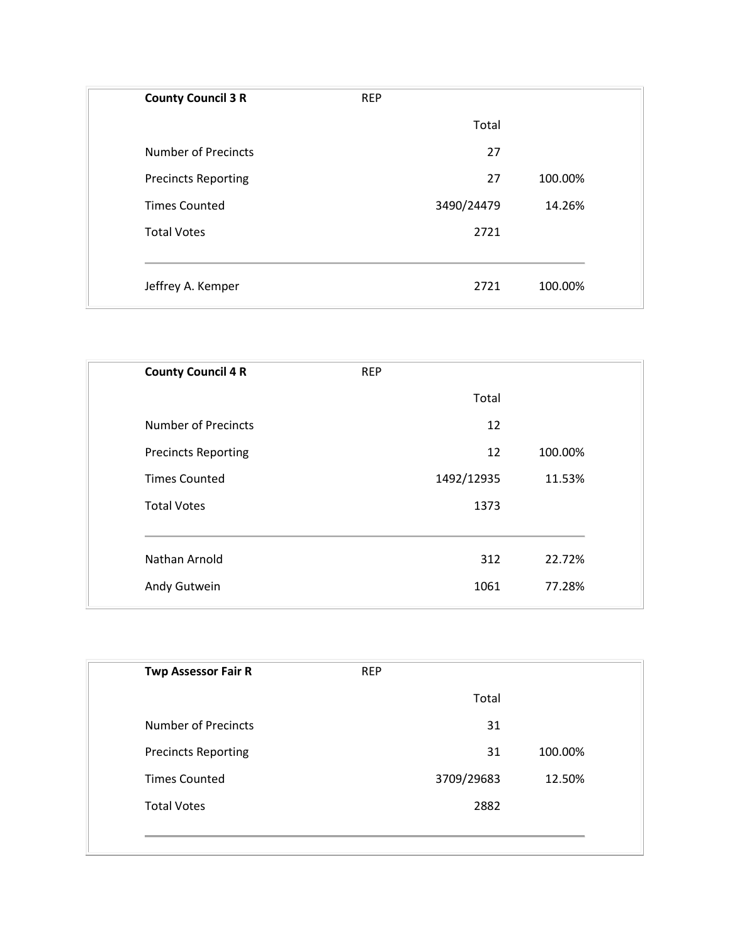| <b>County Council 3 R</b>  | <b>REP</b> |                 |
|----------------------------|------------|-----------------|
|                            |            | Total           |
| <b>Number of Precincts</b> |            | 27              |
| <b>Precincts Reporting</b> |            | 27<br>100.00%   |
| <b>Times Counted</b>       | 3490/24479 | 14.26%          |
| <b>Total Votes</b>         |            | 2721            |
|                            |            |                 |
| Jeffrey A. Kemper          |            | 100.00%<br>2721 |

| <b>County Council 4 R</b>  | <b>REP</b> |            |         |
|----------------------------|------------|------------|---------|
|                            |            | Total      |         |
| <b>Number of Precincts</b> |            | 12         |         |
| <b>Precincts Reporting</b> |            | 12         | 100.00% |
| <b>Times Counted</b>       |            | 1492/12935 | 11.53%  |
| <b>Total Votes</b>         |            | 1373       |         |
|                            |            |            |         |
| Nathan Arnold              |            | 312        | 22.72%  |
| Andy Gutwein               |            | 1061       | 77.28%  |
|                            |            |            |         |

| <b>Twp Assessor Fair R</b> | <b>REP</b> |            |         |
|----------------------------|------------|------------|---------|
|                            |            | Total      |         |
| <b>Number of Precincts</b> |            | 31         |         |
| <b>Precincts Reporting</b> |            | 31         | 100.00% |
| <b>Times Counted</b>       |            | 3709/29683 | 12.50%  |
| <b>Total Votes</b>         |            | 2882       |         |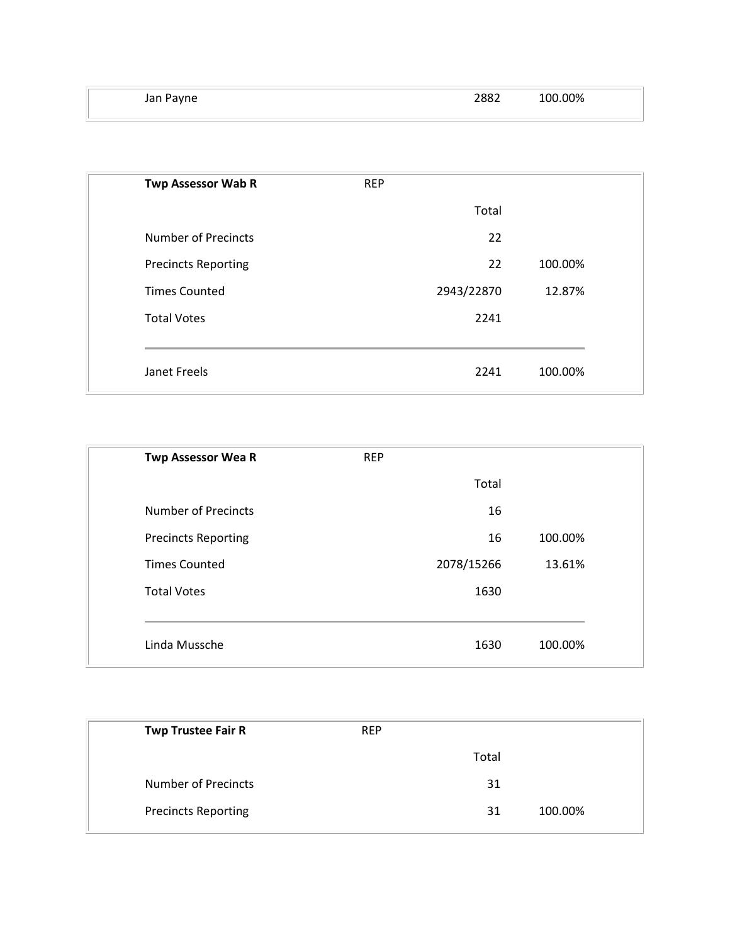| Jan Payne | 2882 | 100.00% |
|-----------|------|---------|
|           |      |         |

| <b>Twp Assessor Wab R</b>  | <b>REP</b> |       |         |
|----------------------------|------------|-------|---------|
|                            |            | Total |         |
| <b>Number of Precincts</b> |            | 22    |         |
| <b>Precincts Reporting</b> |            | 22    | 100.00% |
| <b>Times Counted</b>       | 2943/22870 |       | 12.87%  |
| <b>Total Votes</b>         |            | 2241  |         |
|                            |            |       |         |
| Janet Freels               |            | 2241  | 100.00% |

| <b>Twp Assessor Wea R</b>  | <b>REP</b> |         |
|----------------------------|------------|---------|
|                            | Total      |         |
| <b>Number of Precincts</b> | 16         |         |
| <b>Precincts Reporting</b> | 16         | 100.00% |
| <b>Times Counted</b>       | 2078/15266 | 13.61%  |
| <b>Total Votes</b>         | 1630       |         |
|                            |            |         |
| Linda Mussche              | 1630       | 100.00% |

| <b>Twp Trustee Fair R</b>  | <b>REP</b> |       |         |
|----------------------------|------------|-------|---------|
|                            |            | Total |         |
| <b>Number of Precincts</b> |            | 31    |         |
| <b>Precincts Reporting</b> |            | 31    | 100.00% |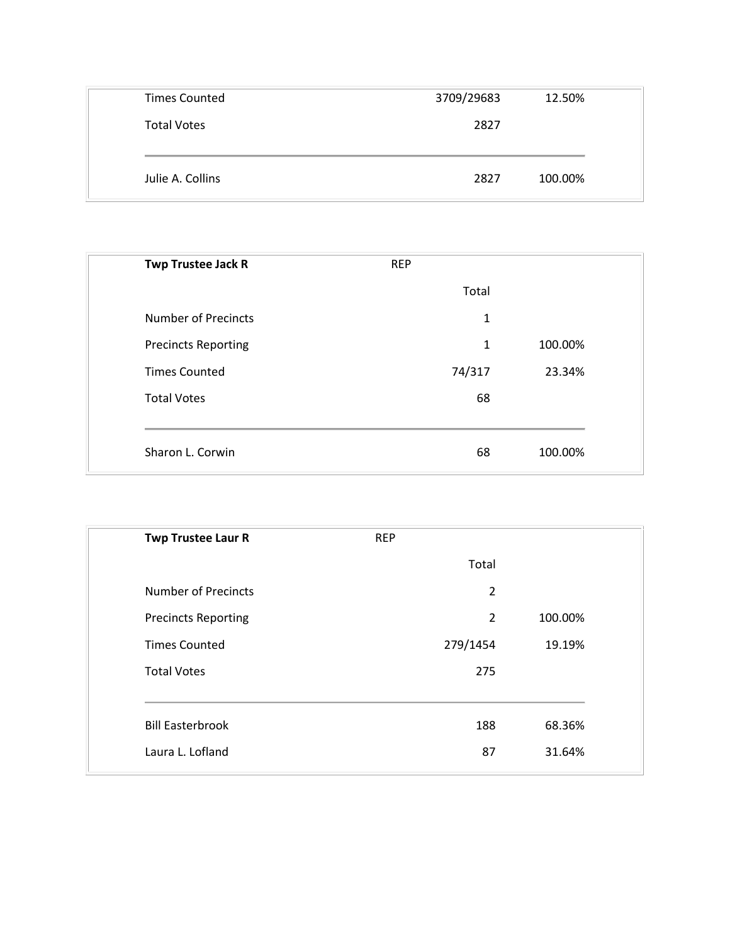| <b>Times Counted</b> | 3709/29683 | 12.50%  |
|----------------------|------------|---------|
| <b>Total Votes</b>   | 2827       |         |
|                      |            |         |
| Julie A. Collins     | 2827       | 100.00% |

| <b>REP</b> |         |  |
|------------|---------|--|
| Total      |         |  |
| 1          |         |  |
| 1          | 100.00% |  |
| 74/317     | 23.34%  |  |
| 68         |         |  |
|            |         |  |
| 68         | 100.00% |  |
|            |         |  |

| <b>Twp Trustee Laur R</b>  | <b>REP</b>     |         |
|----------------------------|----------------|---------|
|                            | Total          |         |
| <b>Number of Precincts</b> | $\overline{2}$ |         |
| <b>Precincts Reporting</b> | $\overline{2}$ | 100.00% |
| <b>Times Counted</b>       | 279/1454       | 19.19%  |
| <b>Total Votes</b>         | 275            |         |
| <b>Bill Easterbrook</b>    | 188            | 68.36%  |
| Laura L. Lofland           | 87             | 31.64%  |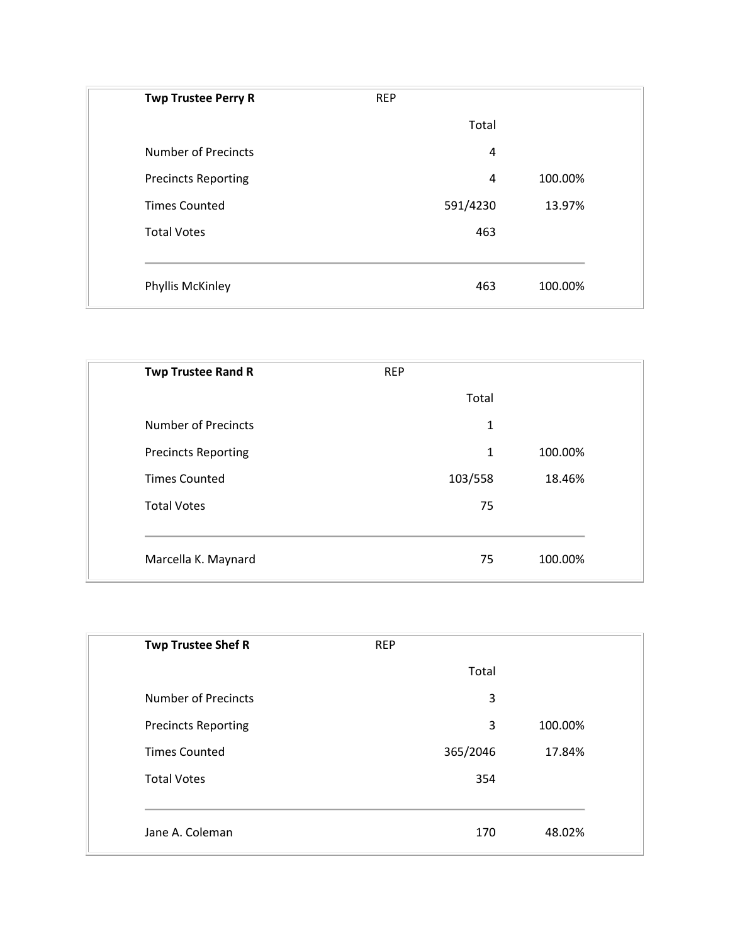| <b>REP</b>     |         |
|----------------|---------|
| Total          |         |
| $\overline{4}$ |         |
| $\overline{4}$ | 100.00% |
| 591/4230       | 13.97%  |
| 463            |         |
|                |         |
| 463            | 100.00% |
|                |         |

| <b>Twp Trustee Rand R</b>  | <b>REP</b> |         |
|----------------------------|------------|---------|
|                            | Total      |         |
| <b>Number of Precincts</b> | 1          |         |
| <b>Precincts Reporting</b> | 1          | 100.00% |
| <b>Times Counted</b>       | 103/558    | 18.46%  |
| <b>Total Votes</b>         | 75         |         |
|                            |            |         |
| Marcella K. Maynard        | 75         | 100.00% |

| <b>REP</b> |         |
|------------|---------|
| Total      |         |
| 3          |         |
| 3          | 100.00% |
| 365/2046   | 17.84%  |
| 354        |         |
|            |         |
| 170        | 48.02%  |
|            |         |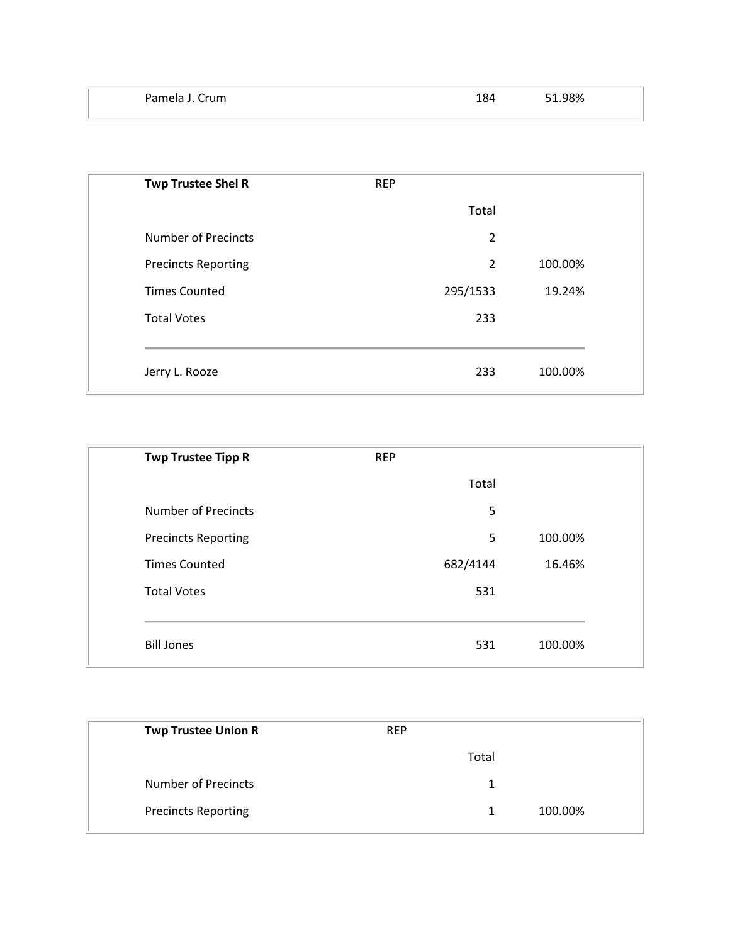| مامدم م<br>`rum | ີ<br>ΧД<br>∸∽ | .98% |
|-----------------|---------------|------|
|                 |               |      |

| <b>Twp Trustee Shel R</b>  | <b>REP</b>     |         |  |
|----------------------------|----------------|---------|--|
|                            | Total          |         |  |
| <b>Number of Precincts</b> | 2              |         |  |
| <b>Precincts Reporting</b> | $\overline{2}$ | 100.00% |  |
| <b>Times Counted</b>       | 295/1533       | 19.24%  |  |
| <b>Total Votes</b>         | 233            |         |  |
|                            |                |         |  |
| Jerry L. Rooze             | 233            | 100.00% |  |

| <b>REP</b> |         |
|------------|---------|
| Total      |         |
| 5          |         |
| 5          | 100.00% |
| 682/4144   | 16.46%  |
| 531        |         |
|            |         |
| 531        | 100.00% |
|            |         |

| <b>Twp Trustee Union R</b> | <b>REP</b> |       |         |
|----------------------------|------------|-------|---------|
|                            |            | Total |         |
| Number of Precincts        |            | 1     |         |
| <b>Precincts Reporting</b> |            |       | 100.00% |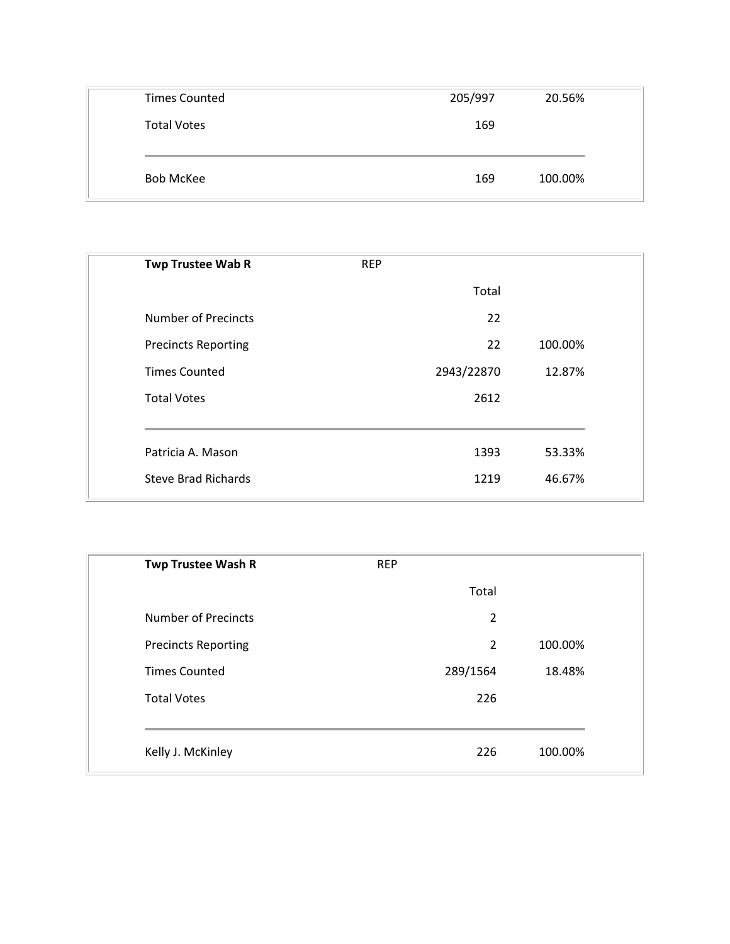| <b>Times Counted</b> | 205/997 | 20.56%  |
|----------------------|---------|---------|
| <b>Total Votes</b>   | 169     |         |
|                      |         |         |
| <b>Bob McKee</b>     | 169     | 100.00% |

| <b>REP</b> |         |
|------------|---------|
| Total      |         |
| 22         |         |
| 22         | 100.00% |
| 2943/22870 | 12.87%  |
| 2612       |         |
|            |         |
| 1393       | 53.33%  |
| 1219       | 46.67%  |
|            |         |

| <b>Twp Trustee Wash R</b>  | <b>REP</b> |                           |
|----------------------------|------------|---------------------------|
|                            | Total      |                           |
| <b>Number of Precincts</b> |            | $\overline{2}$            |
| <b>Precincts Reporting</b> |            | $\overline{2}$<br>100.00% |
| <b>Times Counted</b>       | 289/1564   | 18.48%                    |
| <b>Total Votes</b>         | 226        |                           |
|                            |            |                           |
| Kelly J. McKinley          | 226        | 100.00%                   |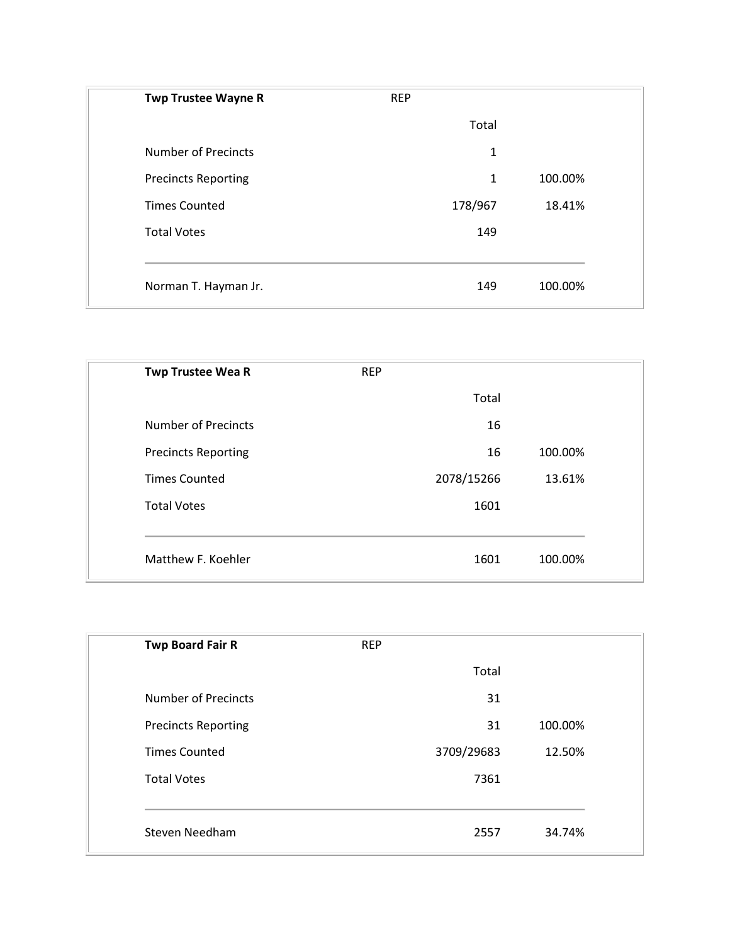| <b>Twp Trustee Wayne R</b> | <b>REP</b>   |         |
|----------------------------|--------------|---------|
|                            | Total        |         |
| <b>Number of Precincts</b> | 1            |         |
| <b>Precincts Reporting</b> | $\mathbf{1}$ | 100.00% |
| <b>Times Counted</b>       | 178/967      | 18.41%  |
| <b>Total Votes</b>         | 149          |         |
|                            |              |         |
| Norman T. Hayman Jr.       | 149          | 100.00% |

| <b>Twp Trustee Wea R</b>   | <b>REP</b> |            |         |
|----------------------------|------------|------------|---------|
|                            |            | Total      |         |
| <b>Number of Precincts</b> |            | 16         |         |
| <b>Precincts Reporting</b> |            | 16         | 100.00% |
| <b>Times Counted</b>       |            | 2078/15266 | 13.61%  |
| <b>Total Votes</b>         |            | 1601       |         |
|                            |            |            |         |
| Matthew F. Koehler         |            | 1601       | 100.00% |

| <b>Twp Board Fair R</b>    | <b>REP</b> |            |         |
|----------------------------|------------|------------|---------|
|                            |            | Total      |         |
| <b>Number of Precincts</b> |            | 31         |         |
| <b>Precincts Reporting</b> |            | 31         | 100.00% |
| <b>Times Counted</b>       |            | 3709/29683 | 12.50%  |
| <b>Total Votes</b>         |            | 7361       |         |
|                            |            |            |         |
| Steven Needham             |            | 2557       | 34.74%  |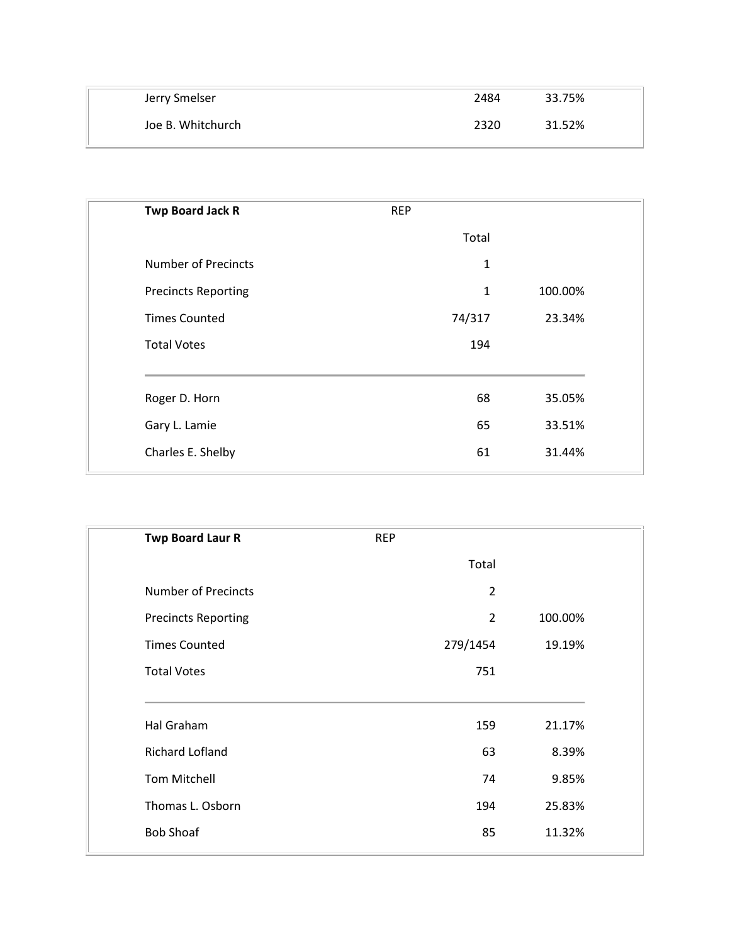| Jerry Smelser     | 2484 | 33.75% |
|-------------------|------|--------|
| Joe B. Whitchurch | 2320 | 31.52% |

| Twp Board Jack R           | <b>REP</b>   |         |
|----------------------------|--------------|---------|
|                            | Total        |         |
| <b>Number of Precincts</b> | $\mathbf{1}$ |         |
| <b>Precincts Reporting</b> | $\mathbf{1}$ | 100.00% |
| <b>Times Counted</b>       | 74/317       | 23.34%  |
| <b>Total Votes</b>         | 194          |         |
| Roger D. Horn              | 68           | 35.05%  |
| Gary L. Lamie              | 65           | 33.51%  |
| Charles E. Shelby          | 61           | 31.44%  |

| <b>Twp Board Laur R</b>    | <b>REP</b> |                |         |
|----------------------------|------------|----------------|---------|
|                            |            | Total          |         |
| <b>Number of Precincts</b> |            | $\overline{2}$ |         |
| <b>Precincts Reporting</b> |            | $\overline{2}$ | 100.00% |
| <b>Times Counted</b>       |            | 279/1454       | 19.19%  |
| <b>Total Votes</b>         |            | 751            |         |
| Hal Graham                 |            | 159            | 21.17%  |
| <b>Richard Lofland</b>     |            | 63             | 8.39%   |
| <b>Tom Mitchell</b>        |            | 74             | 9.85%   |
| Thomas L. Osborn           |            | 194            | 25.83%  |
| <b>Bob Shoaf</b>           |            | 85             | 11.32%  |
|                            |            |                |         |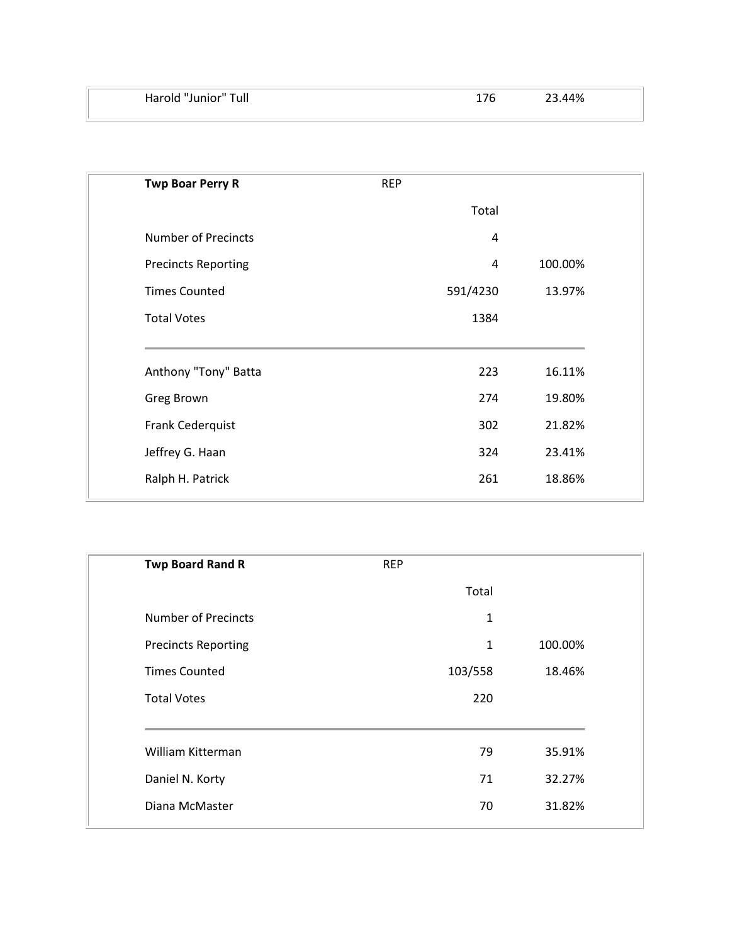| Harold "Junior" Tull | 23.44% |
|----------------------|--------|
|                      |        |

| <b>Twp Boar Perry R</b>    | <b>REP</b> |          |         |
|----------------------------|------------|----------|---------|
|                            |            | Total    |         |
| <b>Number of Precincts</b> |            | 4        |         |
| <b>Precincts Reporting</b> |            | 4        | 100.00% |
| <b>Times Counted</b>       |            | 591/4230 | 13.97%  |
| <b>Total Votes</b>         |            | 1384     |         |
| Anthony "Tony" Batta       |            | 223      | 16.11%  |
| <b>Greg Brown</b>          |            | 274      | 19.80%  |
| Frank Cederquist           |            | 302      | 21.82%  |
| Jeffrey G. Haan            |            | 324      | 23.41%  |
| Ralph H. Patrick           |            | 261      | 18.86%  |
|                            |            |          |         |

| <b>Twp Board Rand R</b>    | <b>REP</b>   |         |
|----------------------------|--------------|---------|
|                            | Total        |         |
| <b>Number of Precincts</b> | $\mathbf{1}$ |         |
| <b>Precincts Reporting</b> | $\mathbf{1}$ | 100.00% |
| <b>Times Counted</b>       | 103/558      | 18.46%  |
| <b>Total Votes</b>         | 220          |         |
| William Kitterman          | 79           | 35.91%  |
| Daniel N. Korty            | 71           | 32.27%  |
| Diana McMaster             | 70           | 31.82%  |
|                            |              |         |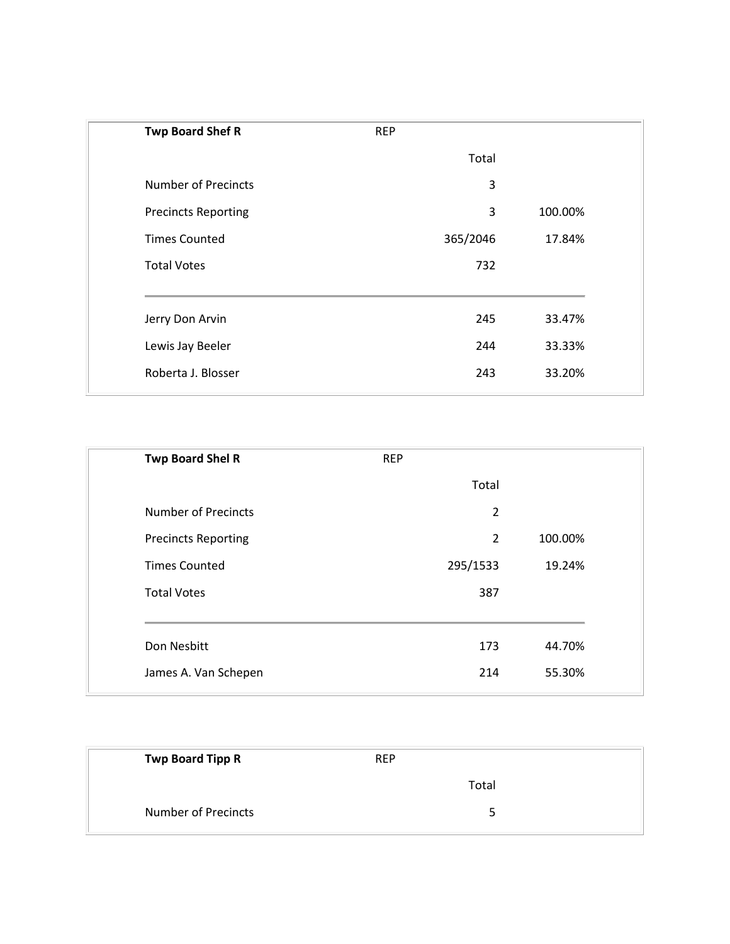| <b>Twp Board Shef R</b>    | <b>REP</b> |               |  |
|----------------------------|------------|---------------|--|
|                            | Total      |               |  |
| <b>Number of Precincts</b> |            | 3             |  |
| <b>Precincts Reporting</b> |            | 3<br>100.00%  |  |
| <b>Times Counted</b>       | 365/2046   | 17.84%        |  |
| <b>Total Votes</b>         |            | 732           |  |
| Jerry Don Arvin            |            | 245<br>33.47% |  |
| Lewis Jay Beeler           |            | 244<br>33.33% |  |
| Roberta J. Blosser         |            | 33.20%<br>243 |  |

| <b>REP</b>     |         |
|----------------|---------|
| Total          |         |
| $\overline{2}$ |         |
| $\overline{2}$ | 100.00% |
| 295/1533       | 19.24%  |
| 387            |         |
|                |         |
|                | 44.70%  |
| 214            | 55.30%  |
|                | 173     |

| <b>Twp Board Tipp R</b>    | <b>REP</b> |
|----------------------------|------------|
|                            | Total      |
| <b>Number of Precincts</b> | 5          |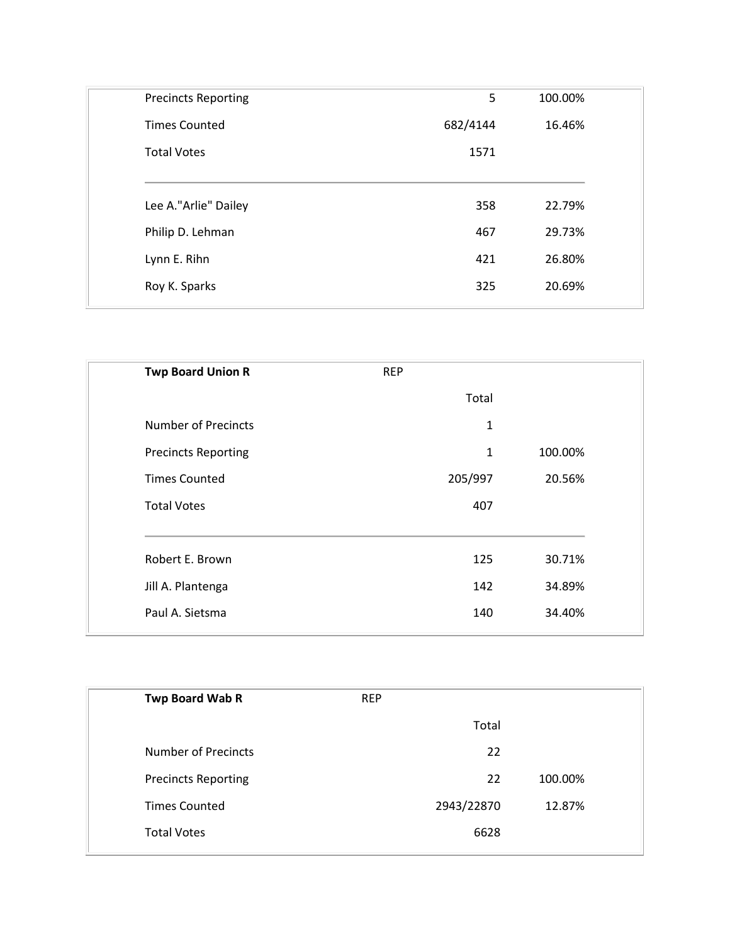| <b>Precincts Reporting</b> | 5        | 100.00% |
|----------------------------|----------|---------|
| <b>Times Counted</b>       | 682/4144 | 16.46%  |
| <b>Total Votes</b>         | 1571     |         |
|                            |          |         |
| Lee A."Arlie" Dailey       | 358      | 22.79%  |
| Philip D. Lehman           | 467      | 29.73%  |
| Lynn E. Rihn               | 421      | 26.80%  |
|                            | 325      | 20.69%  |

| <b>Twp Board Union R</b>   | <b>REP</b> |       |         |
|----------------------------|------------|-------|---------|
|                            |            | Total |         |
| <b>Number of Precincts</b> |            | 1     |         |
| <b>Precincts Reporting</b> |            | 1     | 100.00% |
| <b>Times Counted</b>       | 205/997    |       | 20.56%  |
| <b>Total Votes</b>         |            | 407   |         |
| Robert E. Brown            |            | 125   | 30.71%  |
| Jill A. Plantenga          |            | 142   | 34.89%  |
| Paul A. Sietsma            |            | 140   | 34.40%  |
|                            |            |       |         |

| <b>REP</b> |         |
|------------|---------|
| Total      |         |
| 22         |         |
| 22         | 100.00% |
| 2943/22870 | 12.87%  |
| 6628       |         |
|            |         |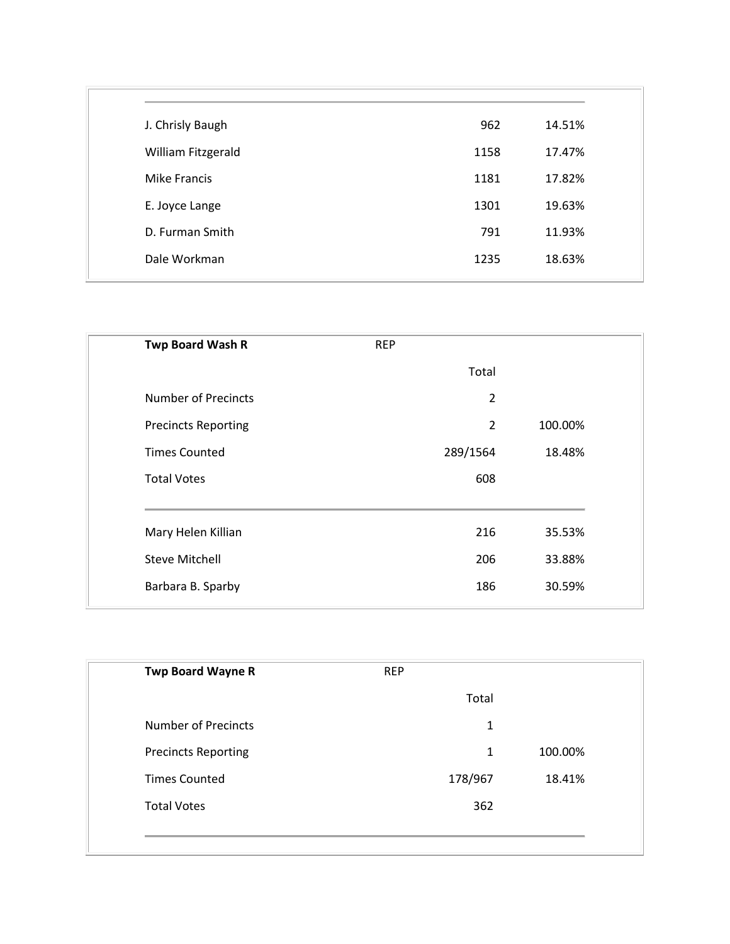| J. Chrisly Baugh    | 962  | 14.51% |
|---------------------|------|--------|
| William Fitzgerald  | 1158 | 17.47% |
| <b>Mike Francis</b> | 1181 | 17.82% |
| E. Joyce Lange      | 1301 | 19.63% |
| D. Furman Smith     | 791  | 11.93% |
| Dale Workman        | 1235 | 18.63% |
|                     |      |        |

| Twp Board Wash R           | <b>REP</b> |                           |
|----------------------------|------------|---------------------------|
|                            | Total      |                           |
| <b>Number of Precincts</b> |            | $\overline{2}$            |
| <b>Precincts Reporting</b> |            | $\overline{2}$<br>100.00% |
| <b>Times Counted</b>       | 289/1564   | 18.48%                    |
| <b>Total Votes</b>         | 608        |                           |
| Mary Helen Killian         | 216        | 35.53%                    |
| <b>Steve Mitchell</b>      | 206        | 33.88%                    |
| Barbara B. Sparby          | 186        | 30.59%                    |
|                            |            |                           |

| <b>Twp Board Wayne R</b>   | <b>REP</b> |              |
|----------------------------|------------|--------------|
|                            | Total      |              |
| <b>Number of Precincts</b> |            | 1            |
| <b>Precincts Reporting</b> |            | 100.00%<br>1 |
| <b>Times Counted</b>       | 178/967    | 18.41%       |
| <b>Total Votes</b>         | 362        |              |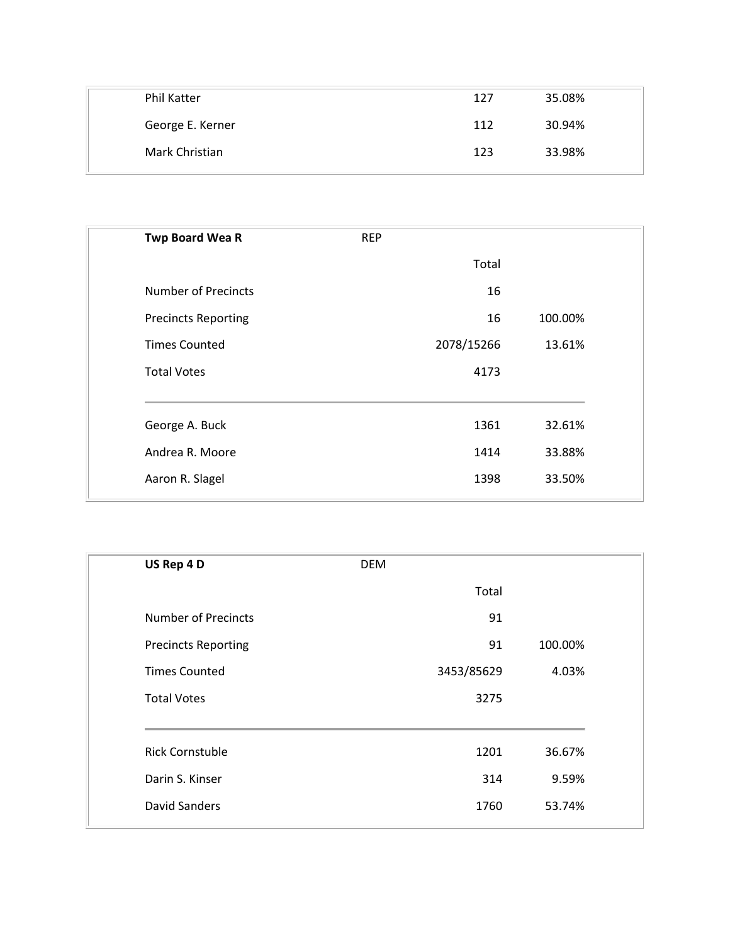| <b>Phil Katter</b> | 127 | 35.08% |
|--------------------|-----|--------|
| George E. Kerner   | 112 | 30.94% |
| Mark Christian     | 123 | 33.98% |

| <b>Twp Board Wea R</b>     | <b>REP</b> |         |
|----------------------------|------------|---------|
|                            | Total      |         |
| Number of Precincts        | 16         |         |
| <b>Precincts Reporting</b> | 16         | 100.00% |
| <b>Times Counted</b>       | 2078/15266 | 13.61%  |
| <b>Total Votes</b>         | 4173       |         |
| George A. Buck             | 1361       | 32.61%  |
| Andrea R. Moore            | 1414       | 33.88%  |
| Aaron R. Slagel            | 1398       | 33.50%  |
|                            |            |         |

| US Rep 4 D                 | <b>DEM</b> |         |
|----------------------------|------------|---------|
|                            | Total      |         |
| <b>Number of Precincts</b> | 91         |         |
| <b>Precincts Reporting</b> | 91         | 100.00% |
| <b>Times Counted</b>       | 3453/85629 | 4.03%   |
| <b>Total Votes</b>         | 3275       |         |
| <b>Rick Cornstuble</b>     | 1201       | 36.67%  |
| Darin S. Kinser            | 314        | 9.59%   |
| <b>David Sanders</b>       | 1760       | 53.74%  |
|                            |            |         |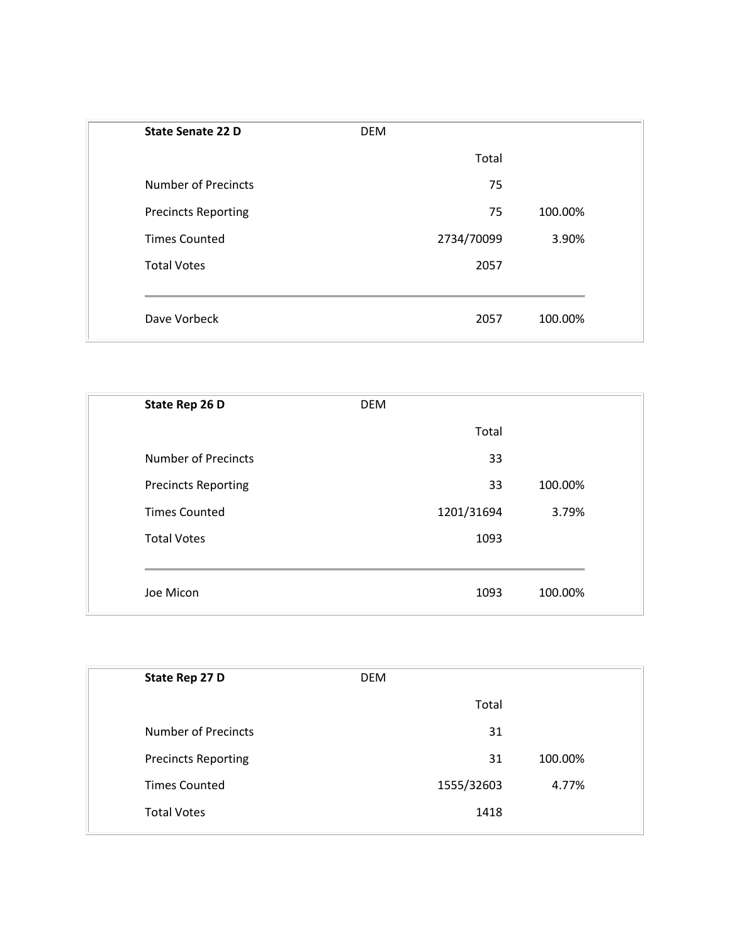| State Senate 22 D          | <b>DEM</b> |            |         |  |
|----------------------------|------------|------------|---------|--|
|                            |            | Total      |         |  |
| <b>Number of Precincts</b> |            | 75         |         |  |
| <b>Precincts Reporting</b> |            | 75         | 100.00% |  |
| <b>Times Counted</b>       |            | 2734/70099 | 3.90%   |  |
| <b>Total Votes</b>         |            | 2057       |         |  |
|                            |            |            |         |  |
| Dave Vorbeck               |            | 2057       | 100.00% |  |

| State Rep 26 D             | <b>DEM</b> |         |
|----------------------------|------------|---------|
|                            | Total      |         |
| <b>Number of Precincts</b> | 33         |         |
| <b>Precincts Reporting</b> | 33         | 100.00% |
| <b>Times Counted</b>       | 1201/31694 | 3.79%   |
| <b>Total Votes</b>         | 1093       |         |
|                            |            |         |
| Joe Micon                  | 1093       | 100.00% |

| State Rep 27 D             | <b>DEM</b> |            |         |  |
|----------------------------|------------|------------|---------|--|
|                            |            | Total      |         |  |
| <b>Number of Precincts</b> |            | 31         |         |  |
| <b>Precincts Reporting</b> |            | 31         | 100.00% |  |
| <b>Times Counted</b>       |            | 1555/32603 | 4.77%   |  |
| <b>Total Votes</b>         |            | 1418       |         |  |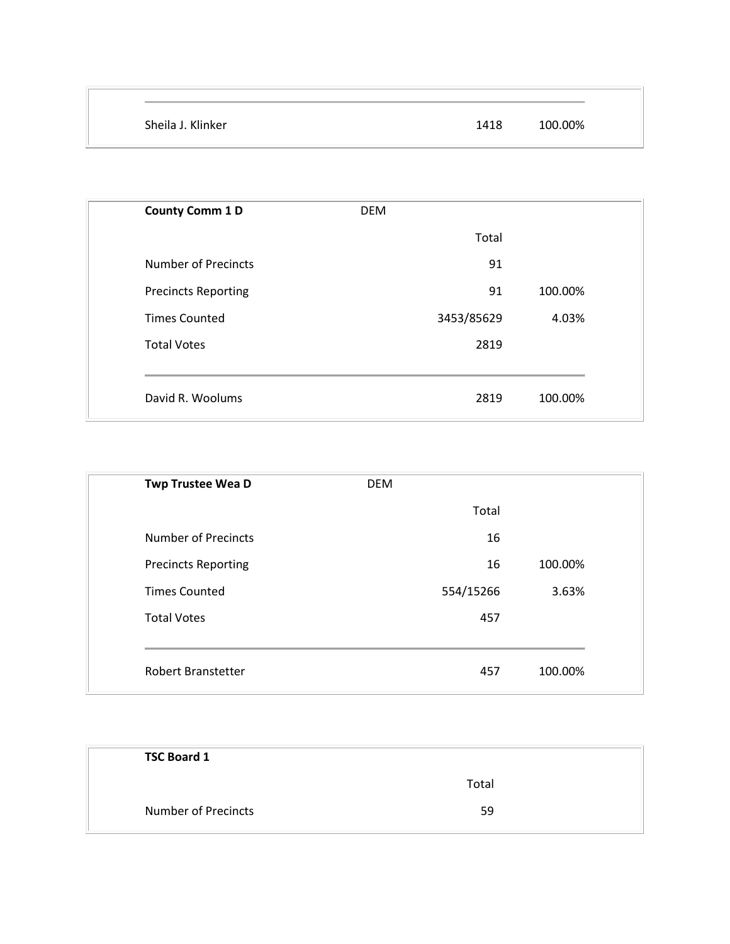| Sheila J. Klinker | 1418 | 100.00% |
|-------------------|------|---------|

| <b>DEM</b> |         |
|------------|---------|
| Total      |         |
| 91         |         |
| 91         | 100.00% |
| 3453/85629 | 4.03%   |
| 2819       |         |
|            |         |
| 2819       | 100.00% |
|            |         |

| <b>Twp Trustee Wea D</b>   | <b>DEM</b> |         |
|----------------------------|------------|---------|
|                            | Total      |         |
| <b>Number of Precincts</b> | 16         |         |
| <b>Precincts Reporting</b> | 16         | 100.00% |
| <b>Times Counted</b>       | 554/15266  | 3.63%   |
| <b>Total Votes</b>         | 457        |         |
|                            |            |         |
| <b>Robert Branstetter</b>  | 457        | 100.00% |

| <b>TSC Board 1</b>         |       |
|----------------------------|-------|
|                            | Total |
| <b>Number of Precincts</b> | 59    |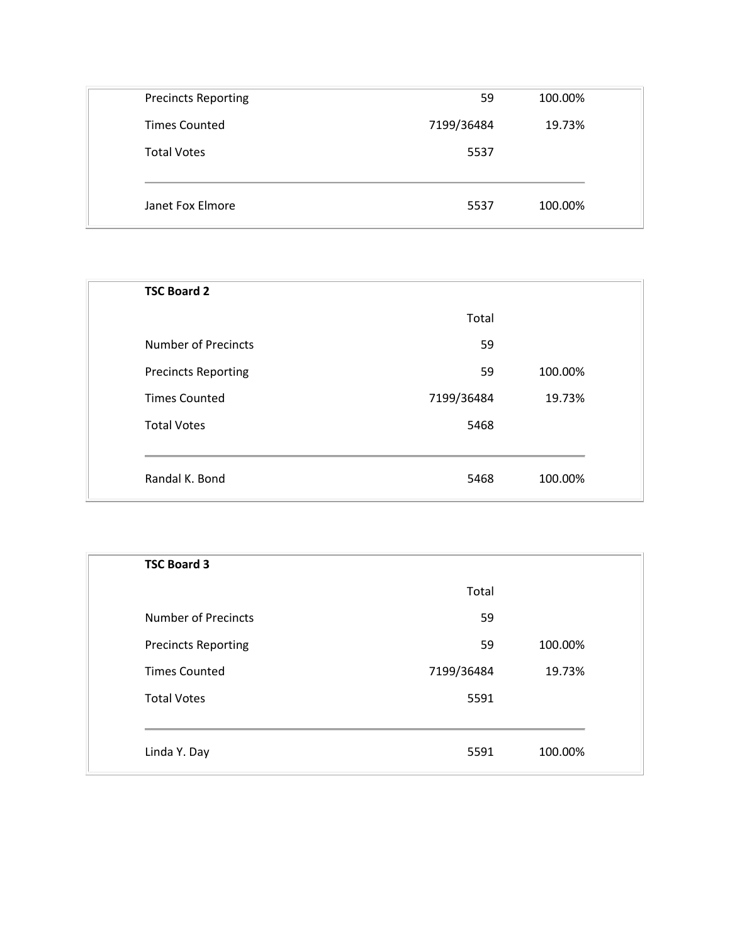| 7199/36484 | 19.73%  |
|------------|---------|
|            |         |
| 5537       |         |
|            |         |
| 5537       | 100.00% |
|            |         |

| <b>TSC Board 2</b>         |            |         |
|----------------------------|------------|---------|
|                            | Total      |         |
| <b>Number of Precincts</b> | 59         |         |
| <b>Precincts Reporting</b> | 59         | 100.00% |
| <b>Times Counted</b>       | 7199/36484 | 19.73%  |
| <b>Total Votes</b>         | 5468       |         |
|                            |            |         |
| Randal K. Bond             | 5468       | 100.00% |

| <b>TSC Board 3</b>         |            |         |  |
|----------------------------|------------|---------|--|
|                            | Total      |         |  |
| <b>Number of Precincts</b> | 59         |         |  |
| <b>Precincts Reporting</b> | 59         | 100.00% |  |
| <b>Times Counted</b>       | 7199/36484 | 19.73%  |  |
| <b>Total Votes</b>         | 5591       |         |  |
|                            |            |         |  |
| Linda Y. Day               | 5591       | 100.00% |  |